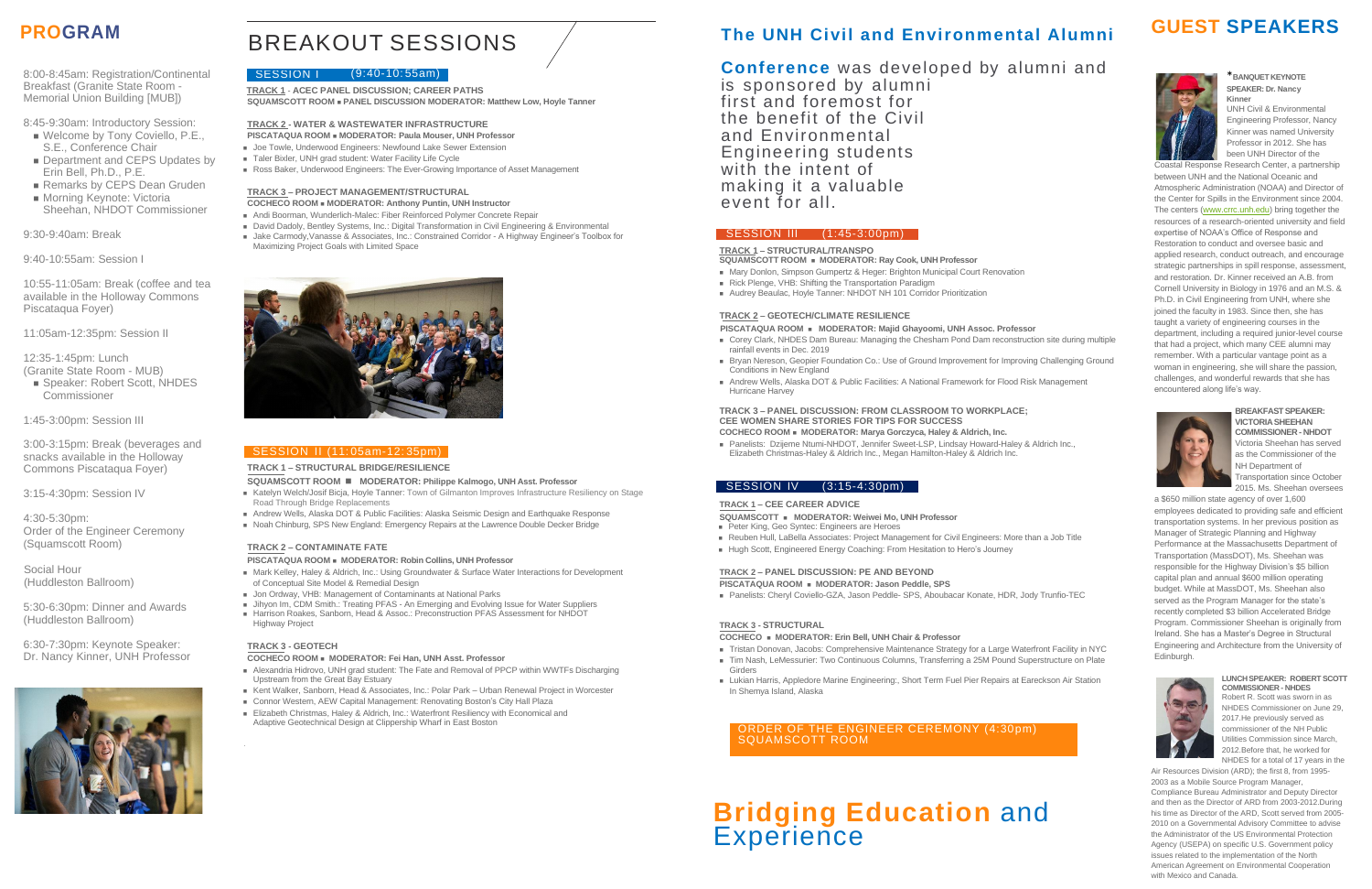# BREAKOUT SESSIONS

#### SESSION | (9:40-10:55am)

## **PROGRAM The UNH Civil and Environmental Alumni GUEST SPEAKERS**

8:00-8:45am: Registration/Continental Breakfast (Granite State Room - Memorial Union Building [MUB])

- Welcome by Tony Coviello, P.E., S.E., Conference Chair
- Department and CEPS Updates by Erin Bell, Ph.D., P.E.
- Remarks by CEPS Dean Gruden ■ Morning Keynote: Victoria
- Sheehan, NHDOT Commissioner

8:45-9:30am: Introductory Session:

■ Speaker: Robert Scott, NHDES Commissioner

9:30-9:40am: Break

#### 9:40-10:55am: Session I

10:55-11:05am: Break (coffee and tea available in the Holloway Commons Piscataqua Foyer)

11:05am-12:35pm: Session II

- **PISCATAQUA ROOM** <sup>◼</sup> **MODERATOR: Paula Mouser, UNH Professor**
- Joe Towle, Underwood Engineers: Newfound Lake Sewer Extension
- Taler Bixler, UNH grad student: Water Facility Life Cycle
- Ross Baker, Underwood Engineers: The Ever-Growing Importance of Asset Management

12:35-1:45pm: Lunch (Granite State Room - MUB)

1:45-3:00pm: Session III

3:00-3:15pm: Break (beverages and snacks available in the Holloway Commons Piscataqua Foyer)

3:15-4:30pm: Session IV

4:30-5:30pm: Order of the Engineer Ceremony (Squamscott Room)

 Social Hour (Huddleston Ballroom)

- David Dadoly, Bentley Systems, Inc.: Digital Transformation in Civil Engineering & Environmental
- Jake Carmody, Vanasse & Associates, Inc.: Constrained Corridor A Highway Engineer's Toolbox for Maximizing Project Goals with Limited Space



#### SESSION II (11:05am-12:35pm)

5:30-6:30pm: Dinner and Awards (Huddleston Ballroom)

6:30-7:30pm: Keynote Speaker: Dr. Nancy Kinner, UNH Professor



**TRACK 1** - **ACEC PANEL DISCUSSION; CAREER PATHS SQUAMSCOTT ROOM** <sup>◼</sup> **PANEL DISCUSSION MODERATOR: Matthew Low, Hoyle Tanner**

#### **TRACK 2 - WATER & WASTEWATER INFRASTRUCTURE**

- Mark Kelley, Haley & Aldrich, Inc.: Using Groundwater & Surface Water Interactions for Development of Conceptual Site Model & Remedial Design
- Jon Ordway, VHB: Management of Contaminants at National Parks
- Jihyon Im, CDM Smith.: Treating PFAS An Emerging and Evolving Issue for Water Suppliers ■ Harrison Roakes, Sanborn, Head & Assoc.: Preconstruction PFAS Assessment for NHDOT Highway Project

#### **TRACK 3 – PROJECT MANAGEMENT/STRUCTURAL COCHECO ROOM** <sup>◼</sup> **MODERATOR: Anthony Puntin, UNH Instructor**

#### ■ Andi Boorman, Wunderlich-Malec: Fiber Reinforced Polymer Concrete Repair

- Alexandria Hidrovo, UNH grad student: The Fate and Removal of PPCP within WWTFs Discharging Upstream from the Great Bay Estuary
- Kent Walker, Sanborn, Head & Associates, Inc.: Polar Park Urban Renewal Project in Worcester
- Connor Western, AEW Capital Management: Renovating Boston's City Hall Plaza
- Elizabeth Christmas, Haley & Aldrich, Inc.: Waterfront Resiliency with Economical and Adaptive Geotechnical Design at Clippership Wharf in East Boston

#### **TRACK 1 – STRUCTURAL BRIDGE/RESILIENCE**

#### **SQUAMSCOTT ROOM** ◼ **MODERATOR: Philippe Kalmogo, UNH Asst. Professor**

- Katelyn Welch/Josif Bicja, Hoyle Tanner: Town of Gilmanton Improves Infrastructure Resiliency on Stage Road Through Bridge Replacements
- Andrew Wells, Alaska DOT & Public Facilities: Alaska Seismic Design and Earthquake Response
- Noah Chinburg, SPS New England: Emergency Repairs at the Lawrence Double Decker Bridge

■ Panelists: Dzijeme Ntumi-NHDOT, Jennifer Sweet-LSP, Lindsay Howard-Haley & Aldrich Inc., Elizabeth Christmas-Haley & Aldrich Inc., Megan Hamilton-Haley & Aldrich Inc.

- **SQUAMSCOTT** <sup>◼</sup> **MODERATOR: Weiwei Mo, UNH Professor**
- Peter King, Geo Syntec: Engineers are Heroes
- Reuben Hull, LaBella Associates: Project Management for Civil Engineers: More than a Job Title
- Hugh Scott, Engineered Energy Coaching: From Hesitation to Hero's Journey

#### **TRACK 2 – CONTAMINATE FATE**

#### **PISCATAQUA ROOM** <sup>◼</sup> **MODERATOR: Robin Collins, UNH Professor**

- Tristan Donovan, Jacobs: Comprehensive Maintenance Strategy for a Large Waterfront Facility in NYC
- Tim Nash, LeMessurier: Two Continuous Columns, Transferring a 25M Pound Superstructure on Plate
- Girders ■ Lukian Harris, Appledore Marine Engineering:, Short Term Fuel Pier Repairs at Eareckson Air Station In Shemya Island, Alaska

# **Bridging Education** and **Experience**



#### **TRACK 3 - GEOTECH**

#### **COCHECO ROOM** <sup>◼</sup> **MODERATOR: Fei Han, UNH Asst. Professor**

### **Conference** was developed by alumni and

is sponsored by alumni first and foremost for the benefit of the Civil and Environmental Engineering students with the intent of making it a valuable event for all.

#### SESSION III (1:45-3:00pm)

#### **TRACK 1 – STRUCTURAL/TRANSPO**

**SQUAMSCOTT ROOM** <sup>◼</sup> **MODERATOR: Ray Cook, UNH Professor**

- Mary Donlon, Simpson Gumpertz & Heger: Brighton Municipal Court Renovation
- Rick Plenge, VHB: Shifting the Transportation Paradigm
- Audrey Beaulac, Hoyle Tanner: NHDOT NH 101 Corridor Prioritization

#### **TRACK 2 – GEOTECH/CLIMATE RESILIENCE**

- **PISCATAQUA ROOM** <sup>◼</sup> **MODERATOR: Majid Ghayoomi, UNH Assoc. Professor** ■ Corey Clark, NHDES Dam Bureau: Managing the Chesham Pond Dam reconstruction site during multiple rainfall events in Dec. 2019
- Bryan Nereson, Geopier Foundation Co.: Use of Ground Improvement for Improving Challenging Ground Conditions in New England
- Andrew Wells, Alaska DOT & Public Facilities: A National Framework for Flood Risk Management Hurricane Harvey

#### **TRACK 3 – PANEL DISCUSSION: FROM CLASSROOM TO WORKPLACE; CEE WOMEN SHARE STORIES FOR TIPS FOR SUCCESS**

**COCHECO ROOM** <sup>◼</sup> **MODERATOR: Marya Gorczyca, Haley & Aldrich, Inc.**

#### **TRACK 1 – CEE CAREER ADVICE**

#### **TRACK 2 – PANEL DISCUSSION: PE AND BEYOND**

**PISCATAQUA ROOM** <sup>◼</sup> **MODERATOR: Jason Peddle, SPS**

■ Panelists: Cheryl Coviello-GZA, Jason Peddle- SPS, Aboubacar Konate, HDR, Jody Trunfio-TEC

#### **TRACK 3 - STRUCTURAL**

#### **COCHECO** <sup>◼</sup> **MODERATOR: Erin Bell, UNH Chair & Professor**

#### \***BANQUET KEYNOTE SPEAKER: Dr. Nancy Kinner**

UNH Civil & Environmental Engineering Professor, Nancy Kinner was named University Professor in 2012. She has been UNH Director of the

Coastal Response Research Center, a partnership between UNH and the National Oceanic and Atmospheric Administration (NOAA) and Director of the Center for Spills in the Environment since 2004. The centers [\(www.crrc.unh.edu\)](http://www.crrc.unh.edu/) bring together the resources of a research-oriented university and field expertise of NOAA's Office of Response and Restoration to conduct and oversee basic and applied research, conduct outreach, and encourage strategic partnerships in spill response, assessment, and restoration. Dr. Kinner received an A.B. from Cornell University in Biology in 1976 and an M.S. & Ph.D. in Civil Engineering from UNH, where she joined the faculty in 1983. Since then, she has taught a variety of engineering courses in the department, including a required junior-level course that had a project, which many CEE alumni may remember. With a particular vantage point as a woman in engineering, she will share the passion, challenges, and wonderful rewards that she has encountered along life's way.



**BREAKFASTSPEAKER: VICTORIASHEEHAN COMMISSIONER- NHDOT** Victoria Sheehan has served as the Commissioner of the

NH Department of Transportation since October 2015. Ms. Sheehan oversees

a \$650 million state agency of over 1,600 employees dedicated to providing safe and efficient transportation systems. In her previous position as Manager of Strategic Planning and Highway Performance at the Massachusetts Department of Transportation (MassDOT), Ms. Sheehan was responsible for the Highway Division's \$5 billion capital plan and annual \$600 million operating budget. While at MassDOT, Ms. Sheehan also served as the Program Manager for the state's recently completed \$3 billion Accelerated Bridge Program. Commissioner Sheehan is originally from Ireland. She has a Master's Degree in Structural Engineering and Architecture from the University of Edinburgh.



**LUNCHSPEAKER: ROBERT SCOTT COMMISSIONER - NHDES** Robert R. Scott was sworn in as NHDES Commissioner on June 29, 2017.He previously served as commissioner of the NH Public

Utilities Commission since March, 2012.Before that, he worked for NHDES for a total of 17 years in the Air Resources Division (ARD); the first 8, from 1995-

2003 as a Mobile Source Program Manager, Compliance Bureau Administrator and Deputy Director and then as the Director of ARD from 2003-2012.During his time as Director of the ARD, Scott served from 2005- 2010 on a Governmental Advisory Committee to advise the Administrator of the US Environmental Protection Agency (USEPA) on specific U.S. Government policy issues related to the implementation of the North American Agreement on Environmental Cooperation with Mexico and Canada.

#### SESSION IV (3:15-4:30pm)

ORDER OF THE ENGINEER CEREMONY (4:30pm) SQUAMSCOTT ROOM